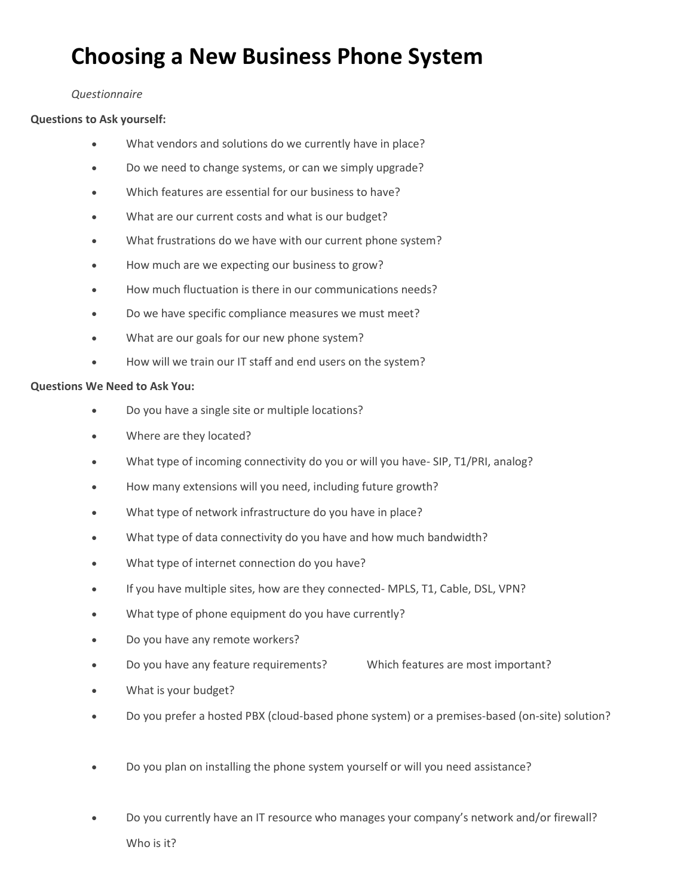# **Choosing a New Business Phone System**

### *Questionnaire*

## **Questions to Ask yourself:**

- What vendors and solutions do we currently have in place?
- Do we need to change systems, or can we simply upgrade?
- Which features are essential for our business to have?
- What are our current costs and what is our budget?
- What frustrations do we have with our current phone system?
- How much are we expecting our business to grow?
- How much fluctuation is there in our communications needs?
- Do we have specific compliance measures we must meet?
- What are our goals for our new phone system?
- How will we train our IT staff and end users on the system?

### **Questions We Need to Ask You:**

- Do you have a single site or multiple locations?
- Where are they located?
- What type of incoming connectivity do you or will you have-SIP, T1/PRI, analog?
- How many extensions will you need, including future growth?
- What type of network infrastructure do you have in place?
- What type of data connectivity do you have and how much bandwidth?
- What type of internet connection do you have?
- If you have multiple sites, how are they connected- MPLS, T1, Cable, DSL, VPN?
- What type of phone equipment do you have currently?
- Do you have any remote workers?
- Do you have any feature requirements? Which features are most important?
- What is your budget?
- Do you prefer a hosted PBX (cloud-based phone system) or a premises-based (on-site) solution?
- Do you plan on installing the phone system yourself or will you need assistance?
- Do you currently have an IT resource who manages your company's network and/or firewall? Who is it?